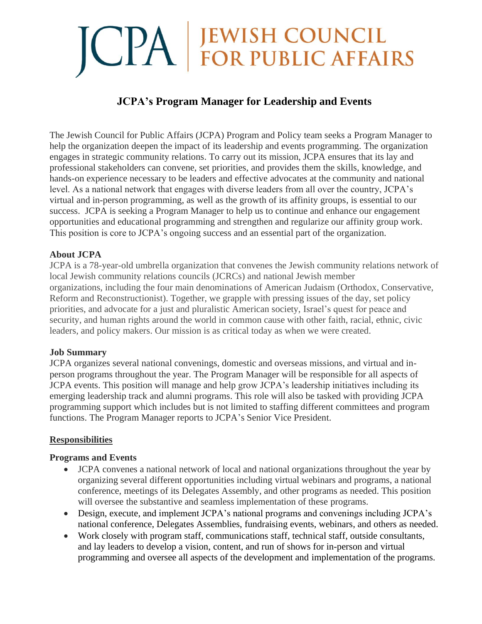# **JCPA FOR PUBLIC AFFAIRS**

# **JCPA's Program Manager for Leadership and Events**

The Jewish Council for Public Affairs (JCPA) Program and Policy team seeks a Program Manager to help the organization deepen the impact of its leadership and events programming. The organization engages in strategic community relations. To carry out its mission, JCPA ensures that its lay and professional stakeholders can convene, set priorities, and provides them the skills, knowledge, and hands-on experience necessary to be leaders and effective advocates at the community and national level. As a national network that engages with diverse leaders from all over the country, JCPA's virtual and in-person programming, as well as the growth of its affinity groups, is essential to our success. JCPA is seeking a Program Manager to help us to continue and enhance our engagement opportunities and educational programming and strengthen and regularize our affinity group work. This position is core to JCPA's ongoing success and an essential part of the organization.

#### **About JCPA**

JCPA is a 78-year-old umbrella organization that convenes the Jewish community relations network of local Jewish community relations councils (JCRCs) and national Jewish member organizations, including the four main denominations of American Judaism (Orthodox, Conservative, Reform and Reconstructionist). Together, we grapple with pressing issues of the day, set policy priorities, and advocate for a just and pluralistic American society, Israel's quest for peace and security, and human rights around the world in common cause with other faith, racial, ethnic, civic leaders, and policy makers. Our mission is as critical today as when we were created.

#### **Job Summary**

JCPA organizes several national convenings, domestic and overseas missions, and virtual and inperson programs throughout the year. The Program Manager will be responsible for all aspects of JCPA events. This position will manage and help grow JCPA's leadership initiatives including its emerging leadership track and alumni programs. This role will also be tasked with providing JCPA programming support which includes but is not limited to staffing different committees and program functions. The Program Manager reports to JCPA's Senior Vice President.

#### **Responsibilities**

#### **Programs and Events**

- JCPA convenes a national network of local and national organizations throughout the year by organizing several different opportunities including virtual webinars and programs, a national conference, meetings of its Delegates Assembly, and other programs as needed. This position will oversee the substantive and seamless implementation of these programs.
- Design, execute, and implement JCPA's national programs and convenings including JCPA's national conference, Delegates Assemblies, fundraising events, webinars, and others as needed.
- Work closely with program staff, communications staff, technical staff, outside consultants, and lay leaders to develop a vision, content, and run of shows for in-person and virtual programming and oversee all aspects of the development and implementation of the programs.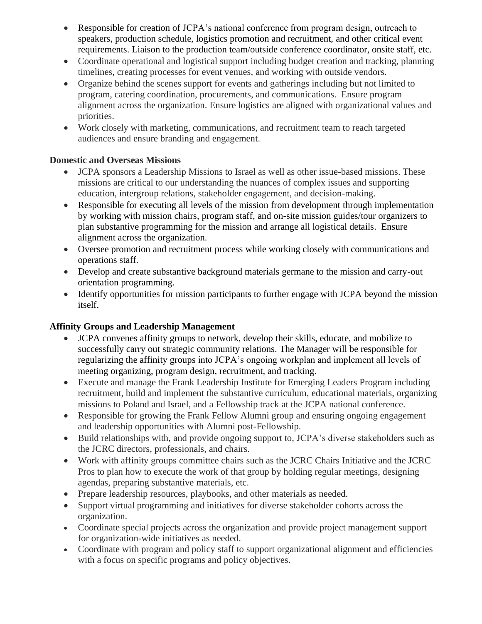- Responsible for creation of JCPA's national conference from program design, outreach to speakers, production schedule, logistics promotion and recruitment, and other critical event requirements. Liaison to the production team/outside conference coordinator, onsite staff, etc.
- Coordinate operational and logistical support including budget creation and tracking, planning timelines, creating processes for event venues, and working with outside vendors.
- Organize behind the scenes support for events and gatherings including but not limited to program, catering coordination, procurements, and communications. Ensure program alignment across the organization. Ensure logistics are aligned with organizational values and priorities.
- Work closely with marketing, communications, and recruitment team to reach targeted audiences and ensure branding and engagement.

## **Domestic and Overseas Missions**

- JCPA sponsors a Leadership Missions to Israel as well as other issue-based missions. These missions are critical to our understanding the nuances of complex issues and supporting education, intergroup relations, stakeholder engagement, and decision-making.
- Responsible for executing all levels of the mission from development through implementation by working with mission chairs, program staff, and on-site mission guides/tour organizers to plan substantive programming for the mission and arrange all logistical details. Ensure alignment across the organization.
- Oversee promotion and recruitment process while working closely with communications and operations staff.
- Develop and create substantive background materials germane to the mission and carry-out orientation programming.
- Identify opportunities for mission participants to further engage with JCPA beyond the mission itself.

# **Affinity Groups and Leadership Management**

- JCPA convenes affinity groups to network, develop their skills, educate, and mobilize to successfully carry out strategic community relations. The Manager will be responsible for regularizing the affinity groups into JCPA's ongoing workplan and implement all levels of meeting organizing, program design, recruitment, and tracking.
- Execute and manage the Frank Leadership Institute for Emerging Leaders Program including recruitment, build and implement the substantive curriculum, educational materials, organizing missions to Poland and Israel, and a Fellowship track at the JCPA national conference.
- Responsible for growing the Frank Fellow Alumni group and ensuring ongoing engagement and leadership opportunities with Alumni post-Fellowship.
- Build relationships with, and provide ongoing support to, JCPA's diverse stakeholders such as the JCRC directors, professionals, and chairs.
- Work with affinity groups committee chairs such as the JCRC Chairs Initiative and the JCRC Pros to plan how to execute the work of that group by holding regular meetings, designing agendas, preparing substantive materials, etc.
- Prepare leadership resources, playbooks, and other materials as needed.
- Support virtual programming and initiatives for diverse stakeholder cohorts across the organization.
- Coordinate special projects across the organization and provide project management support for organization-wide initiatives as needed.
- Coordinate with program and policy staff to support organizational alignment and efficiencies with a focus on specific programs and policy objectives.